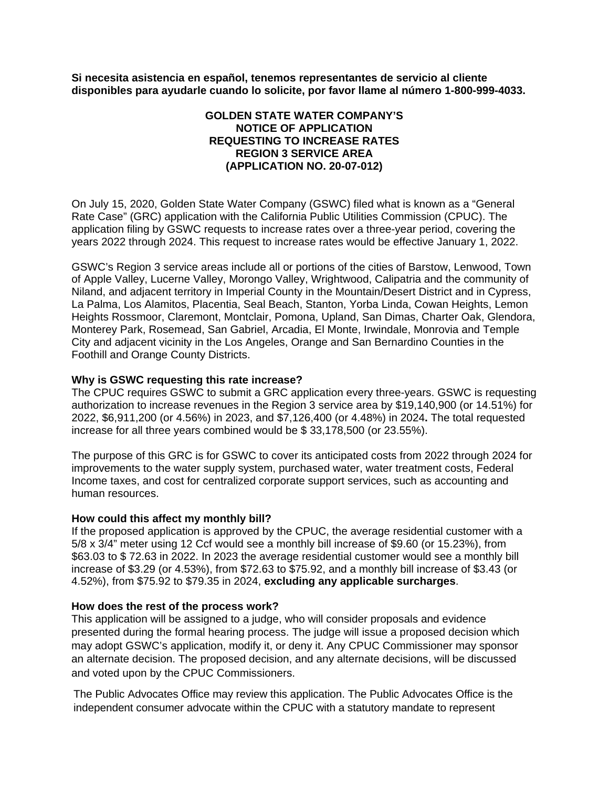**Si necesita asistencia en español, tenemos representantes de servicio al cliente disponibles para ayudarle cuando lo solicite, por favor llame al número 1-800-999-4033.**

# **GOLDEN STATE WATER COMPANY'S NOTICE OF APPLICATION REQUESTING TO INCREASE RATES REGION 3 SERVICE AREA (APPLICATION NO. 20-07-012)**

On July 15, 2020, Golden State Water Company (GSWC) filed what is known as a "General Rate Case" (GRC) application with the California Public Utilities Commission (CPUC). The application filing by GSWC requests to increase rates over a three-year period, covering the years 2022 through 2024. This request to increase rates would be effective January 1, 2022.

GSWC's Region 3 service areas include all or portions of the cities of Barstow, Lenwood, Town of Apple Valley, Lucerne Valley, Morongo Valley, Wrightwood, Calipatria and the community of Niland, and adjacent territory in Imperial County in the Mountain/Desert District and in Cypress, La Palma, Los Alamitos, Placentia, Seal Beach, Stanton, Yorba Linda, Cowan Heights, Lemon Heights Rossmoor, Claremont, Montclair, Pomona, Upland, San Dimas, Charter Oak, Glendora, Monterey Park, Rosemead, San Gabriel, Arcadia, El Monte, Irwindale, Monrovia and Temple City and adjacent vicinity in the Los Angeles, Orange and San Bernardino Counties in the Foothill and Orange County Districts.

## **Why is GSWC requesting this rate increase?**

The CPUC requires GSWC to submit a GRC application every three-years. GSWC is requesting authorization to increase revenues in the Region 3 service area by \$19,140,900 (or 14.51%) for 2022, \$6,911,200 (or 4.56%) in 2023, and \$7,126,400 (or 4.48%) in 2024**.** The total requested increase for all three years combined would be \$ 33,178,500 (or 23.55%).

The purpose of this GRC is for GSWC to cover its anticipated costs from 2022 through 2024 for improvements to the water supply system, purchased water, water treatment costs, Federal Income taxes, and cost for centralized corporate support services, such as accounting and human resources.

#### **How could this affect my monthly bill?**

If the proposed application is approved by the CPUC, the average residential customer with a 5/8 x 3/4" meter using 12 Ccf would see a monthly bill increase of \$9.60 (or 15.23%), from \$63.03 to \$ 72.63 in 2022. In 2023 the average residential customer would see a monthly bill increase of \$3.29 (or 4.53%), from \$72.63 to \$75.92, and a monthly bill increase of \$3.43 (or 4.52%), from \$75.92 to \$79.35 in 2024, **excluding any applicable surcharges**.

#### **How does the rest of the process work?**

This application will be assigned to a judge, who will consider proposals and evidence presented during the formal hearing process. The judge will issue a proposed decision which may adopt GSWC's application, modify it, or deny it. Any CPUC Commissioner may sponsor an alternate decision. The proposed decision, and any alternate decisions, will be discussed and voted upon by the CPUC Commissioners.

The Public Advocates Office may review this application. The Public Advocates Office is the independent consumer advocate within the CPUC with a statutory mandate to represent